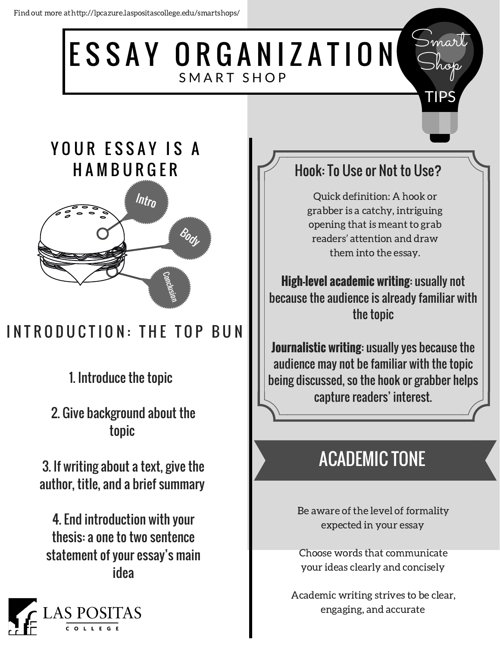#### ESSAY ORGANIZATION SMART SHOP Smart

## YOUR ESSAY IS A **HAMBURGER**



# INTRODUCTION: THE TOP BUN

1. Introduce the topic

2. Give background about the topic

3. If writing about a text, give the author, title, and a brief summary

4. End introduction with your thesis: a one to two sentence statement of your essay's main idea



## Hook: To Use or Not to Use?

Shop

TIPS

Quick definition: A hook or grabber is a catchy, intriguing opening that is meant to grab readers' attention and draw them into the essay.

**High-level academic writing**: usually not because the audience is already familiar with the topic

**Journalistic writing**: usually yes because the audience may not be familiar with the topic being discussed, so the hook or grabber helps capture readers' interest.

# ACADEMIC TONE

Be aware of the level of formality expected in your essay

Choose words that communicate your ideas clearly and concisely

Academic writing strives to be clear, engaging, and accurate